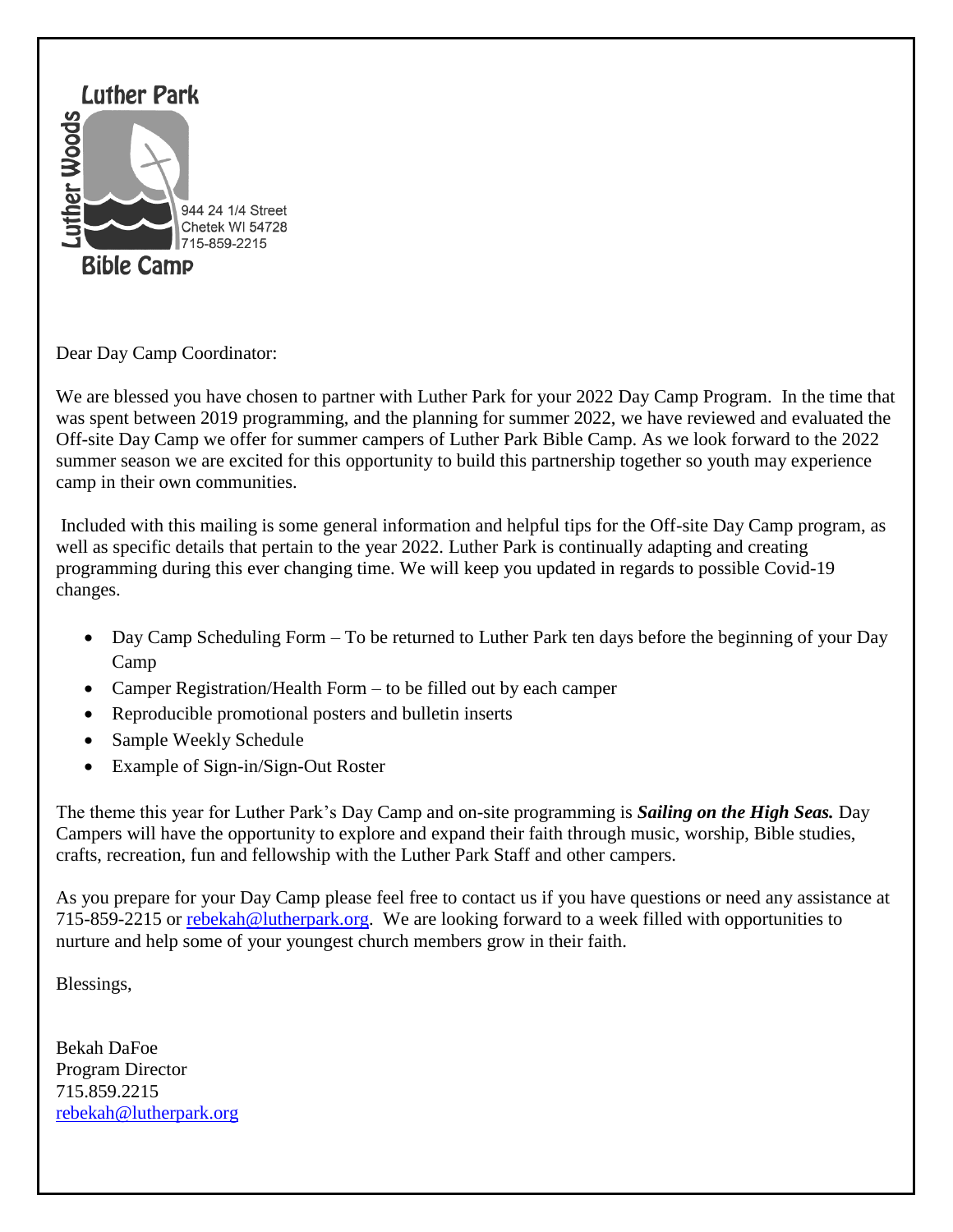

Dear Day Camp Coordinator:

We are blessed you have chosen to partner with Luther Park for your 2022 Day Camp Program. In the time that was spent between 2019 programming, and the planning for summer 2022, we have reviewed and evaluated the Off-site Day Camp we offer for summer campers of Luther Park Bible Camp. As we look forward to the 2022 summer season we are excited for this opportunity to build this partnership together so youth may experience camp in their own communities.

Included with this mailing is some general information and helpful tips for the Off-site Day Camp program, as well as specific details that pertain to the year 2022. Luther Park is continually adapting and creating programming during this ever changing time. We will keep you updated in regards to possible Covid-19 changes.

- Day Camp Scheduling Form To be returned to Luther Park ten days before the beginning of your Day Camp
- Camper Registration/Health Form to be filled out by each camper
- Reproducible promotional posters and bulletin inserts
- Sample Weekly Schedule
- Example of Sign-in/Sign-Out Roster

The theme this year for Luther Park's Day Camp and on-site programming is *Sailing on the High Seas.* Day Campers will have the opportunity to explore and expand their faith through music, worship, Bible studies, crafts, recreation, fun and fellowship with the Luther Park Staff and other campers.

As you prepare for your Day Camp please feel free to contact us if you have questions or need any assistance at 715-859-2215 or [rebekah@lutherpark.org.](mailto:rebekah@lutherpark.org) We are looking forward to a week filled with opportunities to nurture and help some of your youngest church members grow in their faith.

Blessings,

Bekah DaFoe Program Director 715.859.2215 [rebekah@lutherpark.org](mailto:rebekah@lutherpark.org)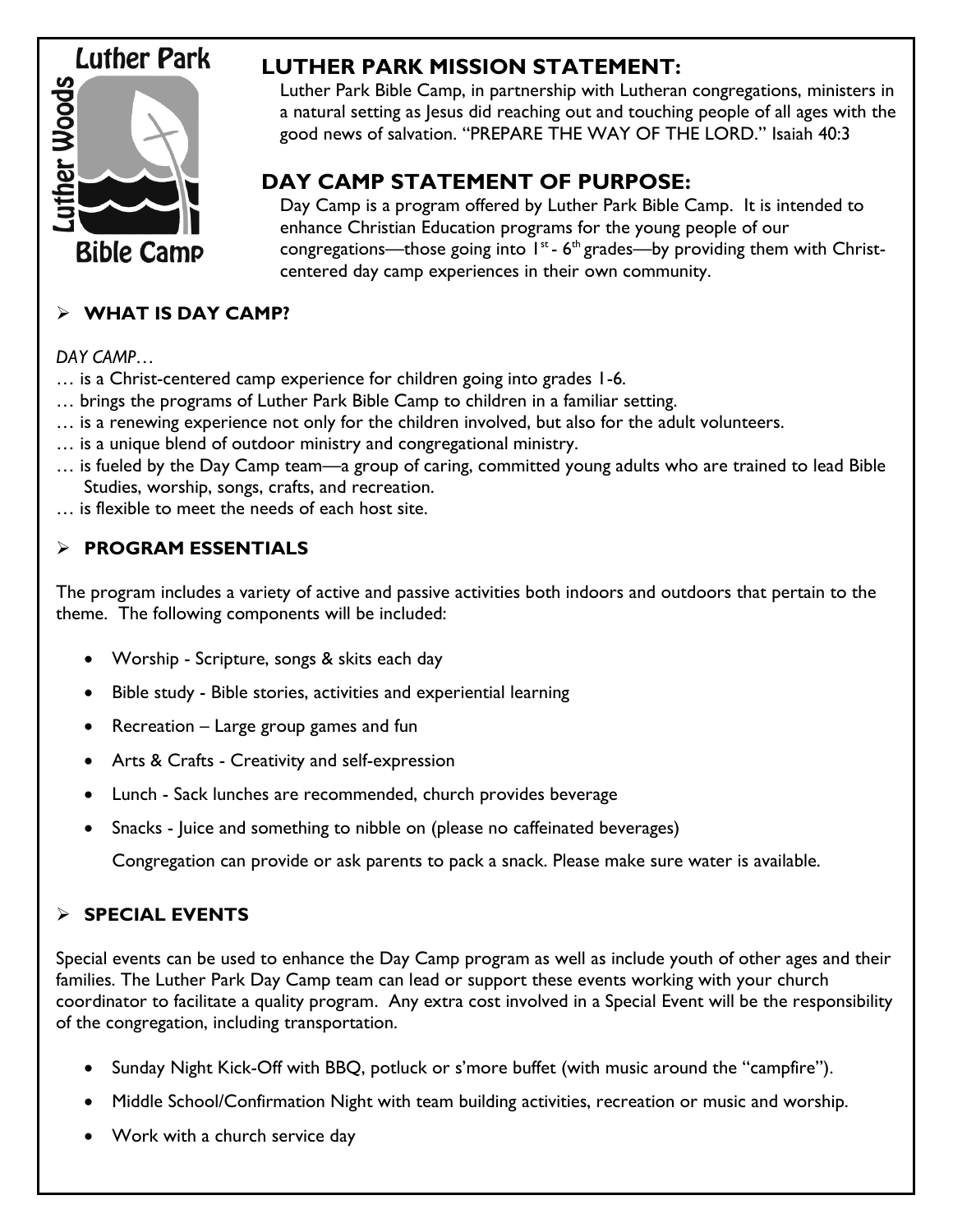# **Luther Park**



## **LUTHER PARK MISSION STATEMENT:**

Luther Park Bible Camp, in partnership with Lutheran congregations, ministers in a natural setting as Jesus did reaching out and touching people of all ages with the good news of salvation. "PREPARE THE WAY OF THE LORD." Isaiah 40:3

## **DAY CAMP STATEMENT OF PURPOSE:**

Day Camp is a program offered by Luther Park Bible Camp. It is intended to enhance Christian Education programs for the young people of our congregations—those going into  $1^{st}$  -  $6^{th}$  grades—by providing them with Christcentered day camp experiences in their own community.

## **WHAT IS DAY CAMP?**

## *DAY CAMP…*

… is a Christ-centered camp experience for children going into grades 1-6.

- … brings the programs of Luther Park Bible Camp to children in a familiar setting.
- … is a renewing experience not only for the children involved, but also for the adult volunteers.
- … is a unique blend of outdoor ministry and congregational ministry.
- … is fueled by the Day Camp team—a group of caring, committed young adults who are trained to lead Bible Studies, worship, songs, crafts, and recreation.

… is flexible to meet the needs of each host site.

## **PROGRAM ESSENTIALS**

The program includes a variety of active and passive activities both indoors and outdoors that pertain to the theme. The following components will be included:

- Worship Scripture, songs & skits each day
- Bible study Bible stories, activities and experiential learning
- Recreation Large group games and fun
- Arts & Crafts Creativity and self-expression
- Lunch Sack lunches are recommended, church provides beverage
- Snacks Juice and something to nibble on (please no caffeinated beverages)

Congregation can provide or ask parents to pack a snack. Please make sure water is available.

## **SPECIAL EVENTS**

Special events can be used to enhance the Day Camp program as well as include youth of other ages and their families. The Luther Park Day Camp team can lead or support these events working with your church coordinator to facilitate a quality program. Any extra cost involved in a Special Event will be the responsibility of the congregation, including transportation.

- Sunday Night Kick-Off with BBQ, potluck or s'more buffet (with music around the "campfire").
- Middle School/Confirmation Night with team building activities, recreation or music and worship.
- Work with a church service day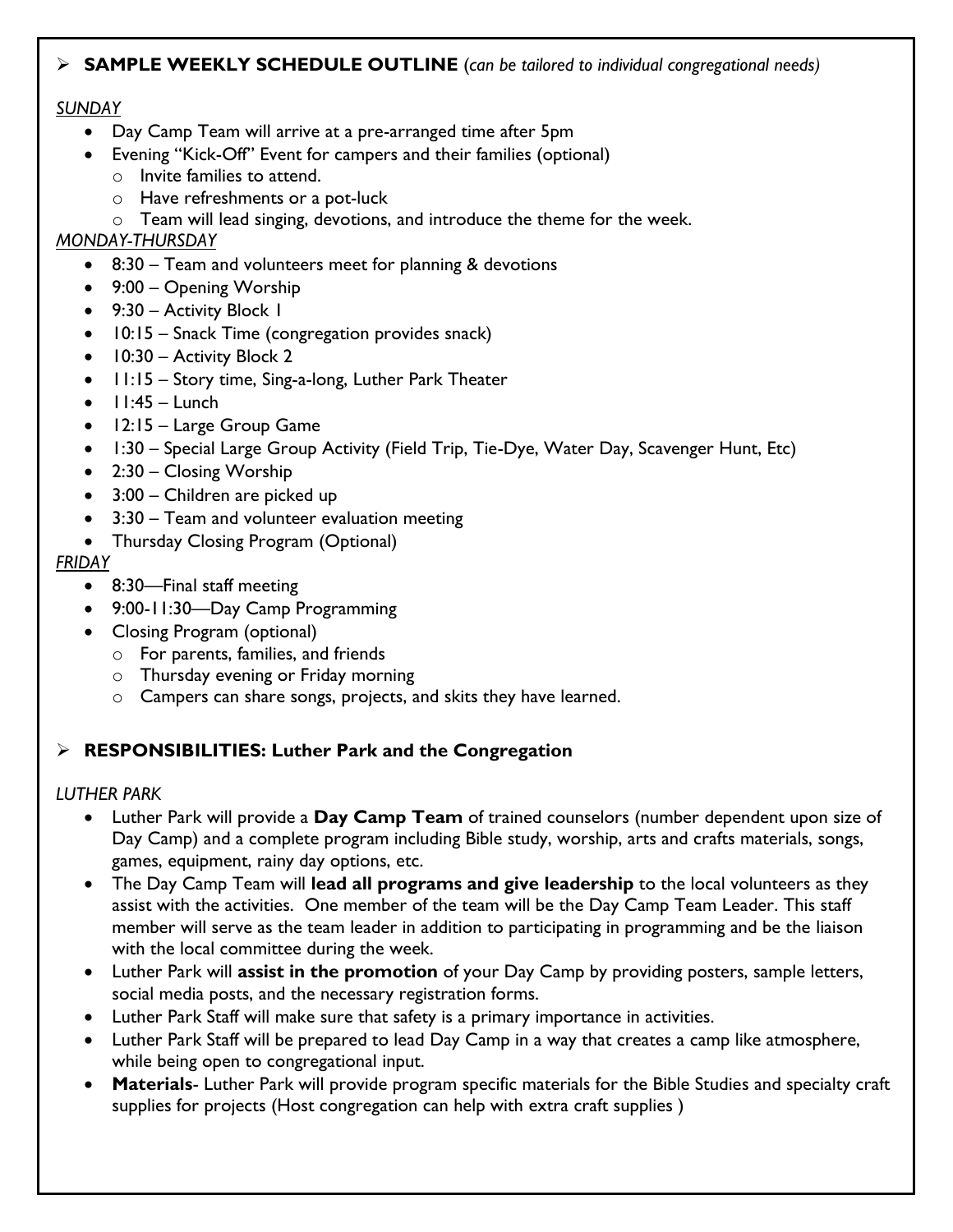#### **SAMPLE WEEKLY SCHEDULE OUTLINE** (*can be tailored to individual congregational needs)*

#### *SUNDAY*

- Day Camp Team will arrive at a pre-arranged time after 5pm
- Evening "Kick-Off" Event for campers and their families (optional)
	- o Invite families to attend.
	- o Have refreshments or a pot-luck
	- o Team will lead singing, devotions, and introduce the theme for the week.

#### *MONDAY-THURSDAY*

- 8:30 Team and volunteers meet for planning & devotions
- 9:00 Opening Worship
- 9:30 Activity Block 1
- 10:15 Snack Time (congregation provides snack)
- $\bullet$  10:30 Activity Block 2
- 11:15 Story time, Sing-a-long, Luther Park Theater
- $\bullet$  11:45 Lunch
- 12:15 Large Group Game
- 1:30 Special Large Group Activity (Field Trip, Tie-Dye, Water Day, Scavenger Hunt, Etc)
- 2:30 Closing Worship
- 3:00 Children are picked up
- 3:30 Team and volunteer evaluation meeting
- Thursday Closing Program (Optional)

#### *FRIDAY*

- 8:30—Final staff meeting
- 9:00-11:30—Day Camp Programming
- Closing Program (optional)
	- o For parents, families, and friends
	- o Thursday evening or Friday morning
	- o Campers can share songs, projects, and skits they have learned.

### **RESPONSIBILITIES: Luther Park and the Congregation**

#### *LUTHER PARK*

- Luther Park will provide a **Day Camp Team** of trained counselors (number dependent upon size of Day Camp) and a complete program including Bible study, worship, arts and crafts materials, songs, games, equipment, rainy day options, etc.
- The Day Camp Team will **lead all programs and give leadership** to the local volunteers as they assist with the activities. One member of the team will be the Day Camp Team Leader. This staff member will serve as the team leader in addition to participating in programming and be the liaison with the local committee during the week.
- Luther Park will **assist in the promotion** of your Day Camp by providing posters, sample letters, social media posts, and the necessary registration forms.
- Luther Park Staff will make sure that safety is a primary importance in activities.
- Luther Park Staff will be prepared to lead Day Camp in a way that creates a camp like atmosphere, while being open to congregational input.
- **Materials** Luther Park will provide program specific materials for the Bible Studies and specialty craft supplies for projects (Host congregation can help with extra craft supplies )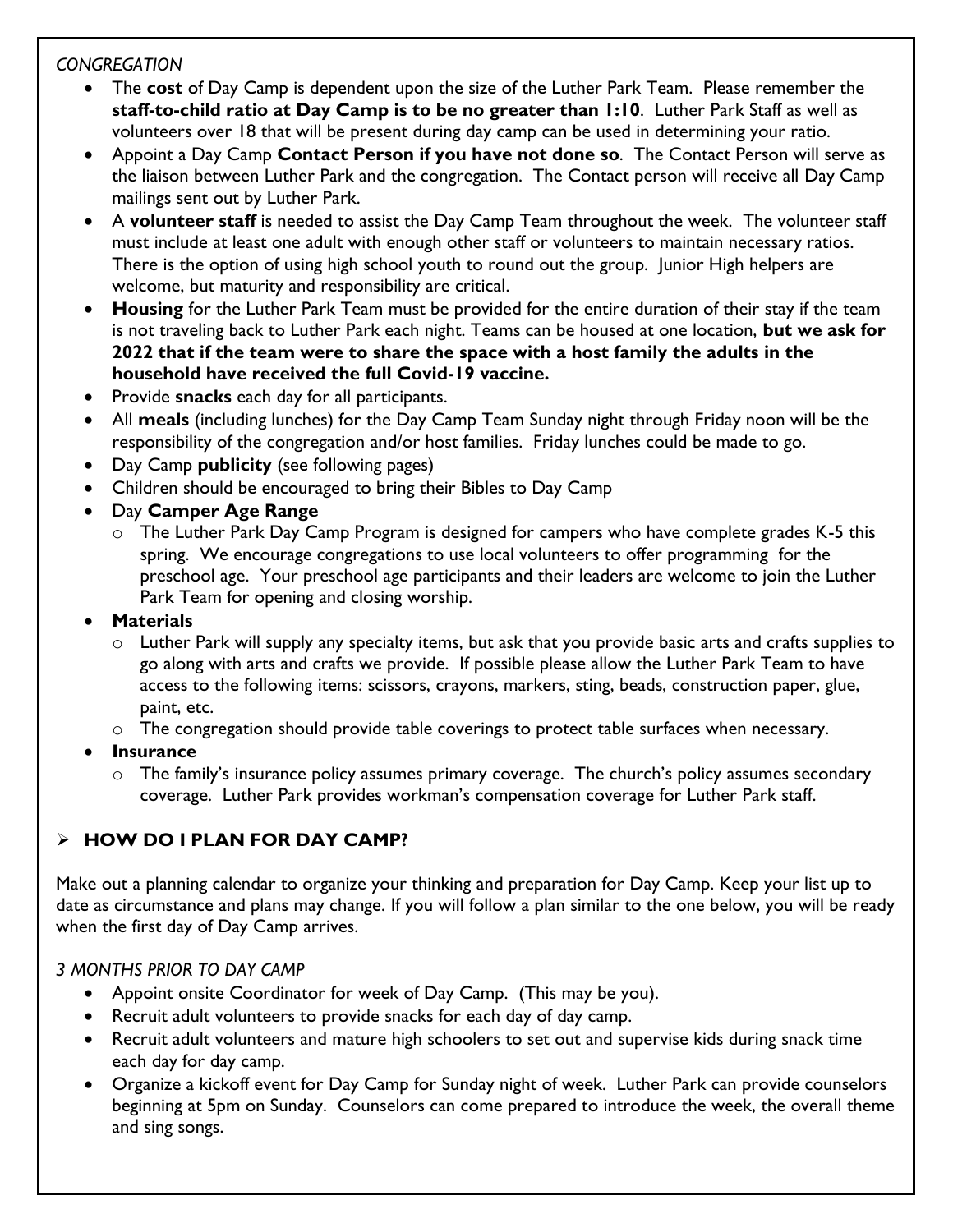### *CONGREGATION*

- The **cost** of Day Camp is dependent upon the size of the Luther Park Team. Please remember the **staff-to-child ratio at Day Camp is to be no greater than 1:10**. Luther Park Staff as well as volunteers over 18 that will be present during day camp can be used in determining your ratio.
- Appoint a Day Camp **Contact Person if you have not done so**. The Contact Person will serve as the liaison between Luther Park and the congregation. The Contact person will receive all Day Camp mailings sent out by Luther Park.
- A **volunteer staff** is needed to assist the Day Camp Team throughout the week. The volunteer staff must include at least one adult with enough other staff or volunteers to maintain necessary ratios. There is the option of using high school youth to round out the group. Junior High helpers are welcome, but maturity and responsibility are critical.
- **Housing** for the Luther Park Team must be provided for the entire duration of their stay if the team is not traveling back to Luther Park each night. Teams can be housed at one location, **but we ask for 2022 that if the team were to share the space with a host family the adults in the household have received the full Covid-19 vaccine.**
- Provide **snacks** each day for all participants.
- All **meals** (including lunches) for the Day Camp Team Sunday night through Friday noon will be the responsibility of the congregation and/or host families. Friday lunches could be made to go.
- Day Camp **publicity** (see following pages)
- Children should be encouraged to bring their Bibles to Day Camp
- Day **Camper Age Range**
	- $\circ$  The Luther Park Day Camp Program is designed for campers who have complete grades K-5 this spring. We encourage congregations to use local volunteers to offer programming for the preschool age. Your preschool age participants and their leaders are welcome to join the Luther Park Team for opening and closing worship.
- **Materials**
	- $\circ$  Luther Park will supply any specialty items, but ask that you provide basic arts and crafts supplies to go along with arts and crafts we provide. If possible please allow the Luther Park Team to have access to the following items: scissors, crayons, markers, sting, beads, construction paper, glue, paint, etc.
	- $\circ$  The congregation should provide table coverings to protect table surfaces when necessary.
- **Insurance**
	- o The family's insurance policy assumes primary coverage. The church's policy assumes secondary coverage. Luther Park provides workman's compensation coverage for Luther Park staff.

## **HOW DO I PLAN FOR DAY CAMP?**

Make out a planning calendar to organize your thinking and preparation for Day Camp. Keep your list up to date as circumstance and plans may change. If you will follow a plan similar to the one below, you will be ready when the first day of Day Camp arrives.

## *3 MONTHS PRIOR TO DAY CAMP*

- Appoint onsite Coordinator for week of Day Camp. (This may be you).
- Recruit adult volunteers to provide snacks for each day of day camp.
- Recruit adult volunteers and mature high schoolers to set out and supervise kids during snack time each day for day camp.
- Organize a kickoff event for Day Camp for Sunday night of week. Luther Park can provide counselors beginning at 5pm on Sunday. Counselors can come prepared to introduce the week, the overall theme and sing songs.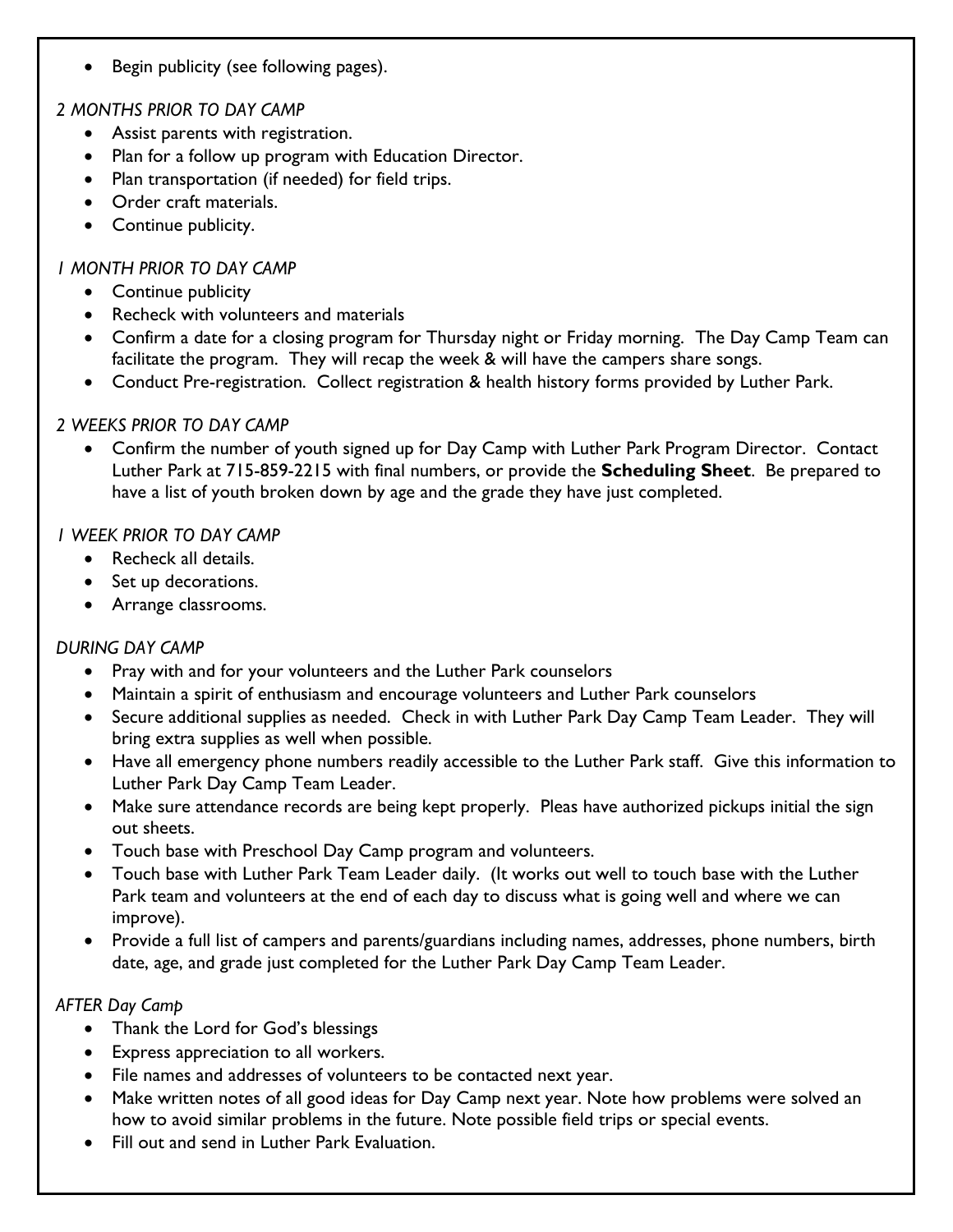Begin publicity (see following pages).

## *2 MONTHS PRIOR TO DAY CAMP*

- Assist parents with registration.
- Plan for a follow up program with Education Director.
- Plan transportation (if needed) for field trips.
- Order craft materials.
- Continue publicity.

### *1 MONTH PRIOR TO DAY CAMP*

- Continue publicity
- Recheck with volunteers and materials
- Confirm a date for a closing program for Thursday night or Friday morning. The Day Camp Team can facilitate the program. They will recap the week & will have the campers share songs.
- Conduct Pre-registration. Collect registration & health history forms provided by Luther Park.

#### *2 WEEKS PRIOR TO DAY CAMP*

 Confirm the number of youth signed up for Day Camp with Luther Park Program Director. Contact Luther Park at 715-859-2215 with final numbers, or provide the **Scheduling Sheet**. Be prepared to have a list of youth broken down by age and the grade they have just completed.

#### *1 WEEK PRIOR TO DAY CAMP*

- Recheck all details.
- Set up decorations.
- Arrange classrooms.

#### *DURING DAY CAMP*

- Pray with and for your volunteers and the Luther Park counselors
- Maintain a spirit of enthusiasm and encourage volunteers and Luther Park counselors
- Secure additional supplies as needed. Check in with Luther Park Day Camp Team Leader. They will bring extra supplies as well when possible.
- Have all emergency phone numbers readily accessible to the Luther Park staff. Give this information to Luther Park Day Camp Team Leader.
- Make sure attendance records are being kept properly. Pleas have authorized pickups initial the sign out sheets.
- Touch base with Preschool Day Camp program and volunteers.
- Touch base with Luther Park Team Leader daily. (It works out well to touch base with the Luther Park team and volunteers at the end of each day to discuss what is going well and where we can improve).
- Provide a full list of campers and parents/guardians including names, addresses, phone numbers, birth date, age, and grade just completed for the Luther Park Day Camp Team Leader.

### *AFTER Day Camp*

- Thank the Lord for God's blessings
- Express appreciation to all workers.
- File names and addresses of volunteers to be contacted next year.
- Make written notes of all good ideas for Day Camp next year. Note how problems were solved an how to avoid similar problems in the future. Note possible field trips or special events.
- Fill out and send in Luther Park Evaluation.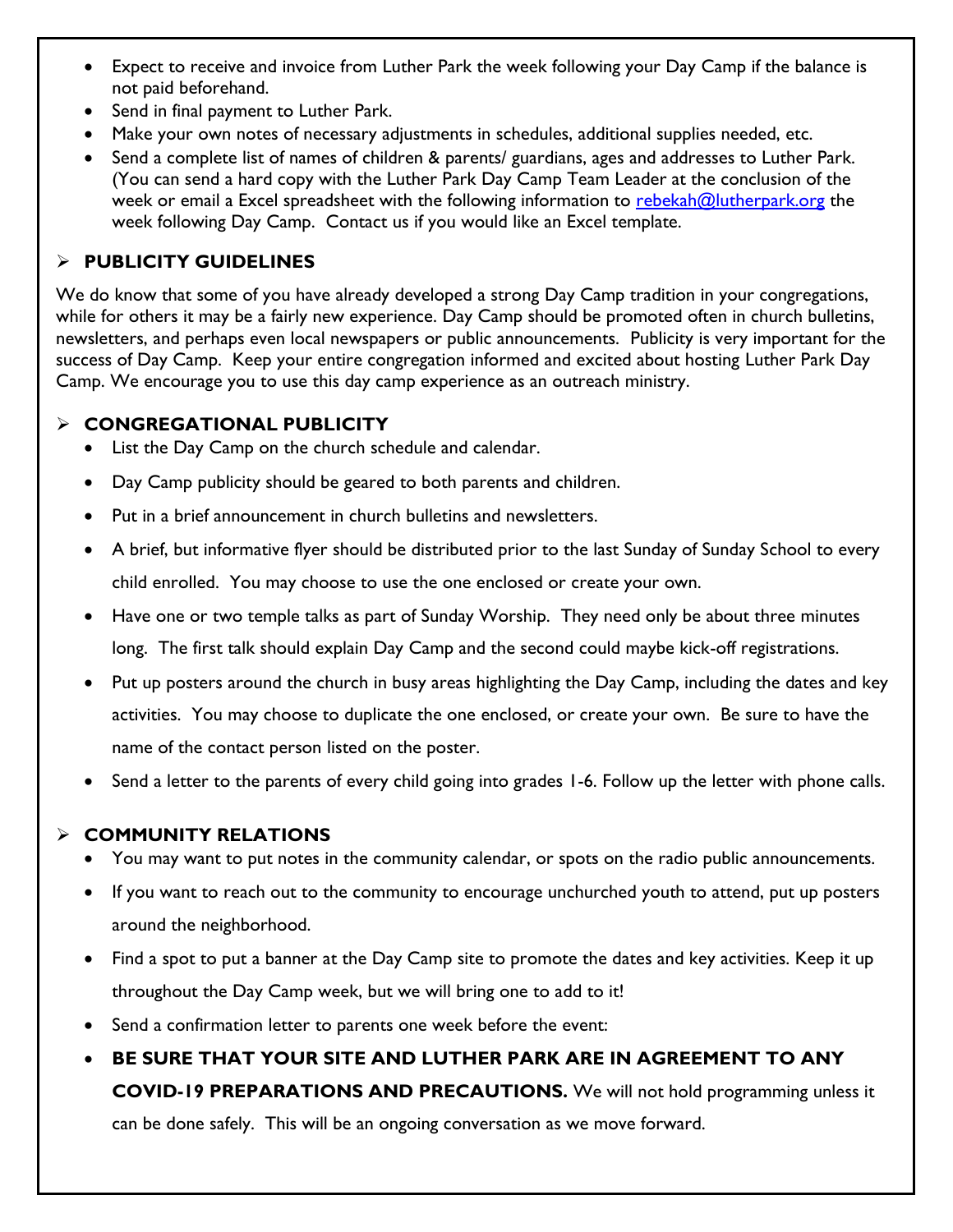- Expect to receive and invoice from Luther Park the week following your Day Camp if the balance is not paid beforehand.
- Send in final payment to Luther Park.
- Make your own notes of necessary adjustments in schedules, additional supplies needed, etc.
- Send a complete list of names of children & parents/ guardians, ages and addresses to Luther Park. (You can send a hard copy with the Luther Park Day Camp Team Leader at the conclusion of the week or email a Excel spreadsheet with the following information to [rebekah@lutherpark.org](mailto:rebekah@lutherpark.org) the week following Day Camp. Contact us if you would like an Excel template.

## **PUBLICITY GUIDELINES**

We do know that some of you have already developed a strong Day Camp tradition in your congregations, while for others it may be a fairly new experience. Day Camp should be promoted often in church bulletins, newsletters, and perhaps even local newspapers or public announcements. Publicity is very important for the success of Day Camp. Keep your entire congregation informed and excited about hosting Luther Park Day Camp. We encourage you to use this day camp experience as an outreach ministry.

## **CONGREGATIONAL PUBLICITY**

- List the Day Camp on the church schedule and calendar.
- Day Camp publicity should be geared to both parents and children.
- Put in a brief announcement in church bulletins and newsletters.
- A brief, but informative flyer should be distributed prior to the last Sunday of Sunday School to every child enrolled. You may choose to use the one enclosed or create your own.
- Have one or two temple talks as part of Sunday Worship. They need only be about three minutes long. The first talk should explain Day Camp and the second could maybe kick-off registrations.
- Put up posters around the church in busy areas highlighting the Day Camp, including the dates and key activities. You may choose to duplicate the one enclosed, or create your own. Be sure to have the name of the contact person listed on the poster.
- Send a letter to the parents of every child going into grades 1-6. Follow up the letter with phone calls.

## **COMMUNITY RELATIONS**

- You may want to put notes in the community calendar, or spots on the radio public announcements.
- If you want to reach out to the community to encourage unchurched youth to attend, put up posters around the neighborhood.
- Find a spot to put a banner at the Day Camp site to promote the dates and key activities. Keep it up throughout the Day Camp week, but we will bring one to add to it!
- Send a confirmation letter to parents one week before the event:
- **BE SURE THAT YOUR SITE AND LUTHER PARK ARE IN AGREEMENT TO ANY COVID-19 PREPARATIONS AND PRECAUTIONS.** We will not hold programming unless it can be done safely. This will be an ongoing conversation as we move forward.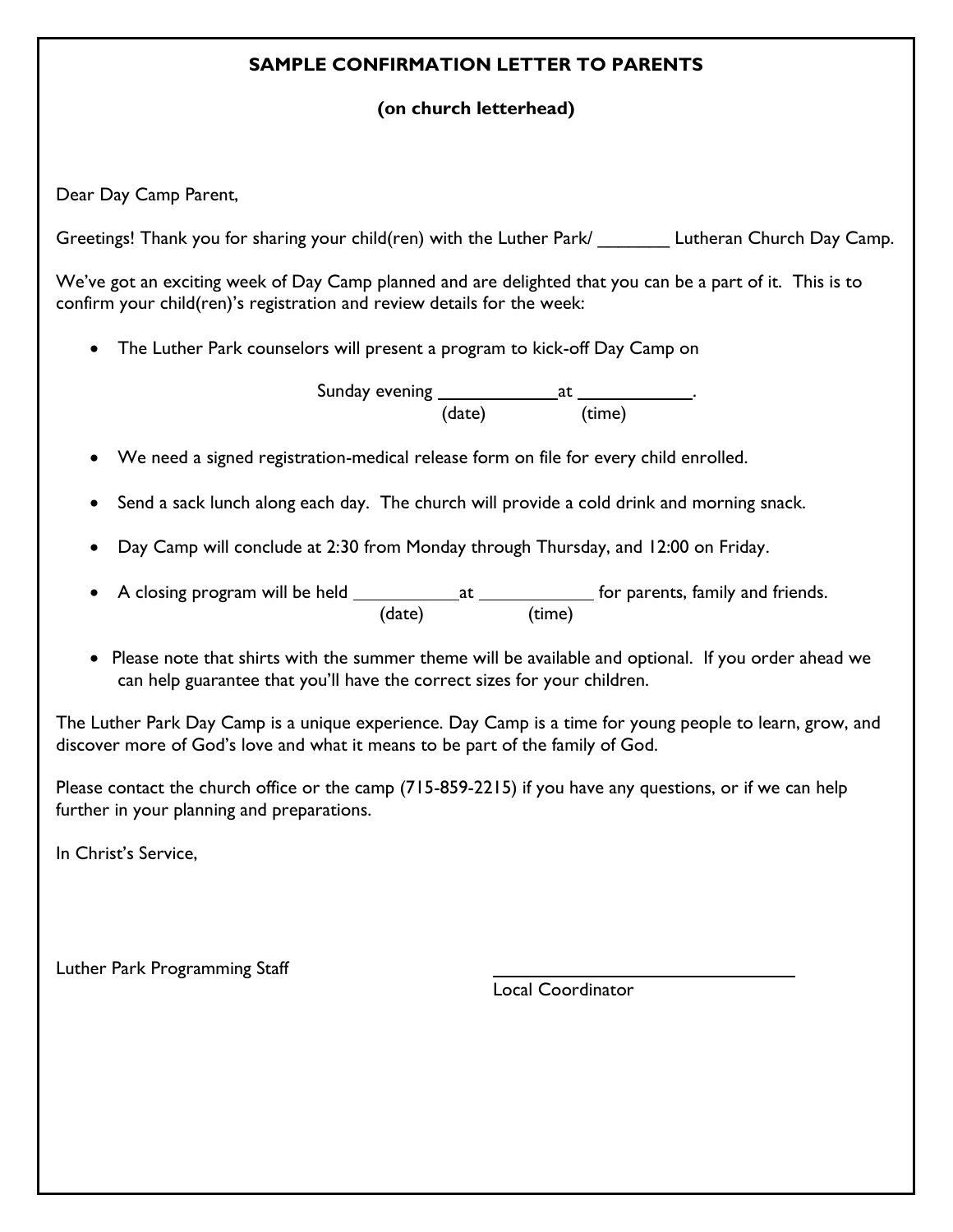### **SAMPLE CONFIRMATION LETTER TO PARENTS**

## **(on church letterhead)**

Dear Day Camp Parent,

Greetings! Thank you for sharing your child(ren) with the Luther Park/ Lutheran Church Day Camp.

We've got an exciting week of Day Camp planned and are delighted that you can be a part of it. This is to confirm your child(ren)'s registration and review details for the week:

The Luther Park counselors will present a program to kick-off Day Camp on

Sunday evening at . (date) (time)

- We need a signed registration-medical release form on file for every child enrolled.
- Send a sack lunch along each day. The church will provide a cold drink and morning snack.
- Day Camp will conclude at 2:30 from Monday through Thursday, and 12:00 on Friday.
- A closing program will be held \_\_\_\_\_\_\_\_\_\_\_\_\_\_\_\_\_\_\_\_\_\_\_\_\_\_\_\_\_\_\_\_\_\_ for parents, family and friends. (date) (time)
- Please note that shirts with the summer theme will be available and optional. If you order ahead we can help guarantee that you'll have the correct sizes for your children.

The Luther Park Day Camp is a unique experience. Day Camp is a time for young people to learn, grow, and discover more of God's love and what it means to be part of the family of God.

Please contact the church office or the camp (715-859-2215) if you have any questions, or if we can help further in your planning and preparations.

In Christ's Service,

Luther Park Programming Staff

Local Coordinator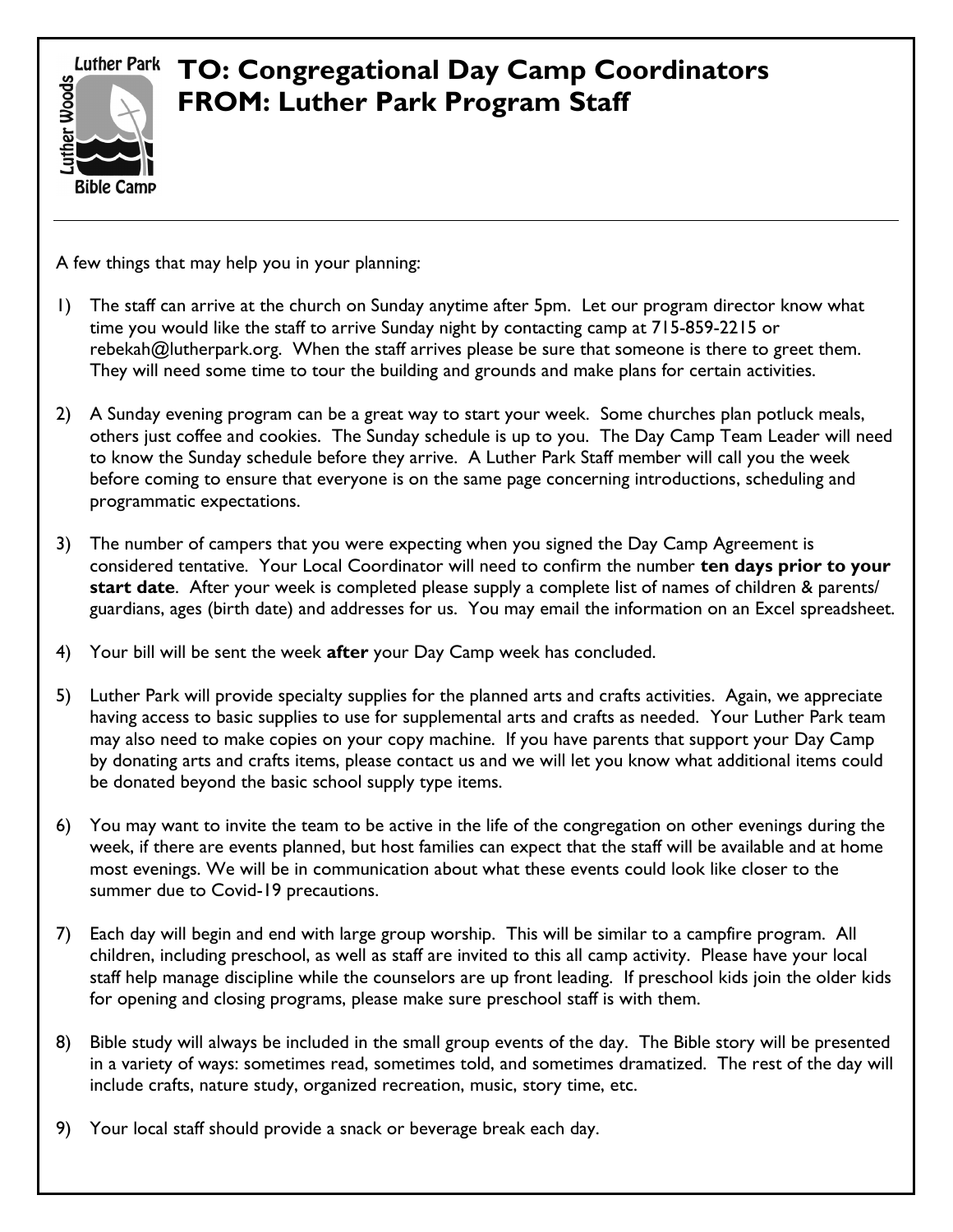**Luther Park** 



# **TO: Congregational Day Camp Coordinators FROM: Luther Park Program Staff**

A few things that may help you in your planning:

- 1) The staff can arrive at the church on Sunday anytime after 5pm. Let our program director know what time you would like the staff to arrive Sunday night by contacting camp at 715-859-2215 or rebekah@lutherpark.org. When the staff arrives please be sure that someone is there to greet them. They will need some time to tour the building and grounds and make plans for certain activities.
- 2) A Sunday evening program can be a great way to start your week. Some churches plan potluck meals, others just coffee and cookies. The Sunday schedule is up to you. The Day Camp Team Leader will need to know the Sunday schedule before they arrive. A Luther Park Staff member will call you the week before coming to ensure that everyone is on the same page concerning introductions, scheduling and programmatic expectations.
- 3) The number of campers that you were expecting when you signed the Day Camp Agreement is considered tentative. Your Local Coordinator will need to confirm the number **ten days prior to your start date**. After your week is completed please supply a complete list of names of children & parents/ guardians, ages (birth date) and addresses for us. You may email the information on an Excel spreadsheet.
- 4) Your bill will be sent the week **after** your Day Camp week has concluded.
- 5) Luther Park will provide specialty supplies for the planned arts and crafts activities. Again, we appreciate having access to basic supplies to use for supplemental arts and crafts as needed. Your Luther Park team may also need to make copies on your copy machine. If you have parents that support your Day Camp by donating arts and crafts items, please contact us and we will let you know what additional items could be donated beyond the basic school supply type items.
- 6) You may want to invite the team to be active in the life of the congregation on other evenings during the week, if there are events planned, but host families can expect that the staff will be available and at home most evenings. We will be in communication about what these events could look like closer to the summer due to Covid-19 precautions.
- 7) Each day will begin and end with large group worship. This will be similar to a campfire program. All children, including preschool, as well as staff are invited to this all camp activity. Please have your local staff help manage discipline while the counselors are up front leading. If preschool kids join the older kids for opening and closing programs, please make sure preschool staff is with them.
- 8) Bible study will always be included in the small group events of the day. The Bible story will be presented in a variety of ways: sometimes read, sometimes told, and sometimes dramatized. The rest of the day will include crafts, nature study, organized recreation, music, story time, etc.
- 9) Your local staff should provide a snack or beverage break each day.